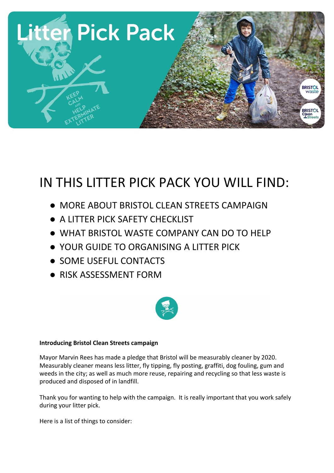

# IN THIS LITTER PICK PACK YOU WILL FIND:

- MORE ABOUT BRISTOL CLEAN STREETS CAMPAIGN
- A LITTER PICK SAFETY CHECKLIST
- WHAT BRISTOL WASTE COMPANY CAN DO TO HELP
- YOUR GUIDE TO ORGANISING A LITTER PICK
- SOME USEFUL CONTACTS
- RISK ASSESSMENT FORM



## **Introducing Bristol Clean Streets campaign**

Mayor Marvin Rees has made a pledge that Bristol will be measurably cleaner by 2020. Measurably cleaner means less litter, fly tipping, fly posting, graffiti, dog fouling, gum and weeds in the city; as well as much more reuse, repairing and recycling so that less waste is produced and disposed of in landfill.

Thank you for wanting to help with the campaign. It is really important that you work safely during your litter pick.

Here is a list of things to consider: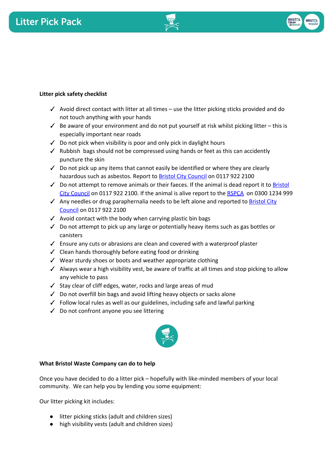



## **Litter pick safety checklist**

- $\checkmark$  Avoid direct contact with litter at all times use the litter picking sticks provided and do not touch anything with your hands
- $\checkmark$  Be aware of your environment and do not put yourself at risk whilst picking litter this is especially important near roads
- ✓ Do not pick when visibility is poor and only pick in daylight hours
- ✓ Rubbish bags should not be compressed using hands or feet as this can accidently puncture the skin
- $\checkmark$  Do not pick up any items that cannot easily be identified or where they are clearly hazardous such as asbestos. Report to **Bristol City Council** on 0117 922 2100
- $\checkmark$  Do not attempt to remove animals or their faeces. If the animal is dead report it to [Bristol](https://www.bristol.gov.uk/streets-travel/report-a-dead-animal-that-needs-removing) [City Council](https://www.bristol.gov.uk/streets-travel/report-a-dead-animal-that-needs-removing) on 0117 922 2100. If the animal is alive report to the [RSPCA](https://www.rspca.org.uk/utilities/contactus/reportcruelty) on 0300 1234 999
- $\checkmark$  Any needles or drug paraphernalia needs to be left alone and reported to [Bristol City](https://www.bristol.gov.uk/streets-travel/street-that-needs-cleaning) [Council](https://www.bristol.gov.uk/streets-travel/street-that-needs-cleaning) on 0117 922 2100
- $\checkmark$  Avoid contact with the body when carrying plastic bin bags
- ✓ Do not attempt to pick up any large or potentially heavy items such as gas bottles or canisters
- ✓ Ensure any cuts or abrasions are clean and covered with a waterproof plaster
- ✓ Clean hands thoroughly before eating food or drinking
- ✓ Wear sturdy shoes or boots and weather appropriate clothing
- ✓ Always wear a high visibility vest, be aware of traffic at all times and stop picking to allow any vehicle to pass
- ✓ Stay clear of cliff edges, water, rocks and large areas of mud
- ✓ Do not overfill bin bags and avoid lifting heavy objects or sacks alone
- ✓ Follow local rules as well as our guidelines, including safe and lawful parking
- ✓ Do not confront anyone you see littering



# **What Bristol Waste Company can do to help**

Once you have decided to do a litter pick – hopefully with like-minded members of your local community. We can help you by lending you some equipment:

Our litter picking kit includes:

- litter picking sticks (adult and children sizes)
- high visibility vests (adult and children sizes)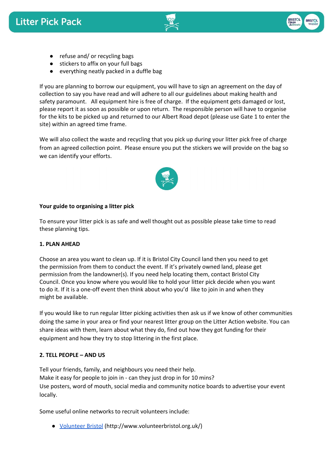



- refuse and/ or recycling bags
- stickers to affix on your full bags
- everything neatly packed in a duffle bag

If you are planning to borrow our equipment, you will have to sign an agreement on the day of collection to say you have read and will adhere to all our guidelines about making health and safety paramount. All equipment hire is free of charge. If the equipment gets damaged or lost, please report it as soon as possible or upon return. The responsible person will have to organise for the kits to be picked up and returned to our Albert Road depot (please use Gate 1 to enter the site) within an agreed time frame.

We will also collect the waste and recycling that you pick up during your litter pick free of charge from an agreed collection point. Please ensure you put the stickers we will provide on the bag so we can identify your efforts.



#### **Your guide to organising a litter pick**

To ensure your litter pick is as safe and well thought out as possible please take time to read these planning tips.

#### **1. PLAN AHEAD**

Choose an area you want to clean up. If it is Bristol City Council land then you need to get the permission from them to conduct the event. If it's privately owned land, please get permission from the landowner(s). If you need help locating them, contact Bristol City Council. Once you know where you would like to hold your litter pick decide when you want to do it. If it is a one-off event then think about who you'd like to join in and when they might be available.

If you would like to run regular litter picking activities then ask us if we know of other communities doing the same in your area or find your nearest litter group on the Litter Action website. You can share ideas with them, learn about what they do, find out how they got funding for their equipment and how they try to stop littering in the first place.

#### **2. TELL PEOPLE – AND US**

Tell your friends, family, and neighbours you need their help. Make it easy for people to join in - can they just drop in for 10 mins? Use posters, word of mouth, social media and community notice boards to advertise your event locally.

Some useful online networks to recruit volunteers include:

● [Volunteer Bristol](http://www.volunteerbristol.org.uk/) (http://www.volunteerbristol.org.uk/)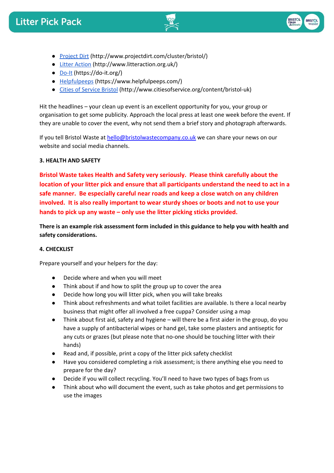



- [Project Dirt](http://www.projectdirt.com/cluster/bristol/) (http://www.projectdirt.com/cluster/bristol/)
- [Litter Action](http://www.litteraction.org.uk/) (http://www.litteraction.org.uk/)
- **[Do-It](https://do-it.org/)** (https://do-it.org/)
- [Helpfulpeeps](https://www.helpfulpeeps.com/) (https://www.helpfulpeeps.com/)
- [Cities of Service Bristol](http://www.citiesofservice.org/content/bristol-uk) (http://www.citiesofservice.org/content/bristol-uk)

Hit the headlines – your clean up event is an excellent opportunity for you, your group or organisation to get some publicity. Approach the local press at least one week before the event. If they are unable to cover the event, why not send them a brief story and photograph afterwards.

If you tell Bristol Waste at [hello@bristolwastecompany.co.uk](mailto:hello@bristolwastecompany.co.uk) we can share your news on our website and social media channels.

#### **3. HEALTH AND SAFETY**

**Bristol Waste takes Health and Safety very seriously. Please think carefully about the location of your litter pick and ensure that all participants understand the need to act in a safe manner. Be especially careful near roads and keep a close watch on any children involved. It is also really important to wear sturdy shoes or boots and not to use your hands to pick up any waste – only use the litter picking sticks provided.**

**There is an example risk assessment form included in this guidance to help you with health and safety considerations.**

#### **4. CHECKLIST**

Prepare yourself and your helpers for the day:

- Decide where and when you will meet
- Think about if and how to split the group up to cover the area
- Decide how long you will litter pick, when you will take breaks
- Think about refreshments and what toilet facilities are available. Is there a local nearby business that might offer all involved a free cuppa? Consider using a map
- Think about first aid, safety and hygiene will there be a first aider in the group, do you have a supply of antibacterial wipes or hand gel, take some plasters and antiseptic for any cuts or grazes (but please note that no-one should be touching litter with their hands)
- Read and, if possible, print a copy of the litter pick safety checklist
- Have you considered completing a risk assessment; is there anything else you need to prepare for the day?
- Decide if you will collect recycling. You'll need to have two types of bags from us
- Think about who will document the event, such as take photos and get permissions to use the images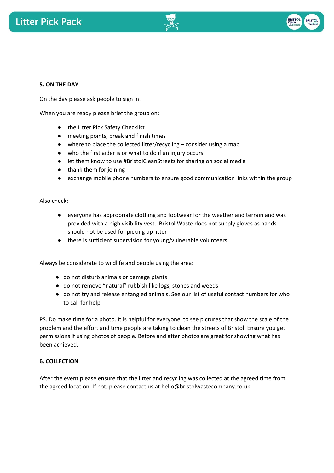



#### **5. ON THE DAY**

On the day please ask people to sign in.

When you are ready please brief the group on:

- the Litter Pick Safety Checklist
- meeting points, break and finish times
- $\bullet$  where to place the collected litter/recycling consider using a map
- who the first aider is or what to do if an injury occurs
- let them know to use #BristolCleanStreets for sharing on social media
- thank them for joining
- exchange mobile phone numbers to ensure good communication links within the group

Also check:

- everyone has appropriate clothing and footwear for the weather and terrain and was provided with a high visibility vest. Bristol Waste does not supply gloves as hands should not be used for picking up litter
- there is sufficient supervision for young/vulnerable volunteers

Always be considerate to wildlife and people using the area:

- do not disturb animals or damage plants
- do not remove "natural" rubbish like logs, stones and weeds
- do not try and release entangled animals. See our list of useful contact numbers for who to call for help

PS. Do make time for a photo. It is helpful for everyone to see pictures that show the scale of the problem and the effort and time people are taking to clean the streets of Bristol. Ensure you get permissions if using photos of people. Before and after photos are great for showing what has been achieved.

#### **6. COLLECTION**

After the event please ensure that the litter and recycling was collected at the agreed time from the agreed location. If not, please contact us at hello@bristolwastecompany.co.uk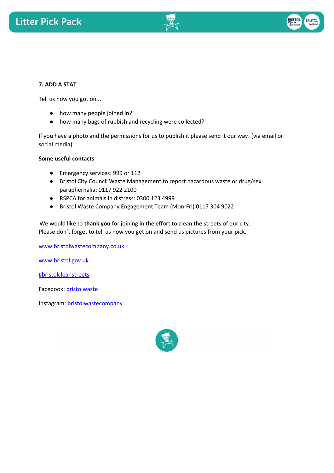



#### **7. ADD A STAT**

Tell us how you got on...

- how many people joined in?
- how many bags of rubbish and recycling were collected?

If you have a photo and the permissions for us to publish it please send it our way! (via email or social media).

#### **Some useful contacts**

- Emergency services: 999 or 112
- Bristol City Council Waste Management to report hazardous waste or drug/sex paraphernalia: 0117 922 2100
- RSPCA for animals in distress: 0300 123 4999
- Bristol Waste Company Engagement Team (Mon-Fri) 0117 304 9022

We would like to **thank you** for joining in the effort to clean the streets of our city. Please don't forget to tell us how you get on and send us pictures from your pick.

[www.bristolwastecompany.co.uk](http://www.bristolwastecompany.co.uk/)

[www.bristol.gov.uk](http://www.bristol.gov.uk/)

[#bristolcleanstreets](https://twitter.com/search?q=%23BristolCleanStreets&src=tyah&lang=en)

Facebook: [bristolwaste](https://www.facebook.com/bristolwaste/)

Instagra[m: bristolwastecompany](https://www.instagram.com/bristolwastecompany/)

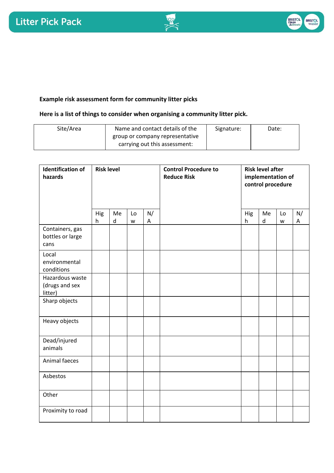

# **Example risk assessment form for community litter picks**

### **Here is a list of things to consider when organising a community litter pick.**

| Site/Area | Name and contact details of the | Signature: | Date: |
|-----------|---------------------------------|------------|-------|
|           | group or company representative |            |       |
|           | carrying out this assessment:   |            |       |

| <b>Identification of</b><br>hazards          | <b>Risk level</b> |                 |         |         | <b>Control Procedure to</b><br><b>Reduce Risk</b> | <b>Risk level after</b><br>implementation of<br>control procedure |         |         |         |
|----------------------------------------------|-------------------|-----------------|---------|---------|---------------------------------------------------|-------------------------------------------------------------------|---------|---------|---------|
|                                              | Hig<br>h          | Me<br>${\sf d}$ | Lo<br>W | N/<br>A |                                                   | Hig<br>h                                                          | Me<br>d | Lo<br>W | N/<br>A |
| Containers, gas<br>bottles or large<br>cans  |                   |                 |         |         |                                                   |                                                                   |         |         |         |
| Local<br>environmental<br>conditions         |                   |                 |         |         |                                                   |                                                                   |         |         |         |
| Hazardous waste<br>(drugs and sex<br>litter) |                   |                 |         |         |                                                   |                                                                   |         |         |         |
| Sharp objects                                |                   |                 |         |         |                                                   |                                                                   |         |         |         |
| Heavy objects                                |                   |                 |         |         |                                                   |                                                                   |         |         |         |
| Dead/injured<br>animals                      |                   |                 |         |         |                                                   |                                                                   |         |         |         |
| Animal faeces                                |                   |                 |         |         |                                                   |                                                                   |         |         |         |
| Asbestos                                     |                   |                 |         |         |                                                   |                                                                   |         |         |         |
| Other                                        |                   |                 |         |         |                                                   |                                                                   |         |         |         |
| Proximity to road                            |                   |                 |         |         |                                                   |                                                                   |         |         |         |